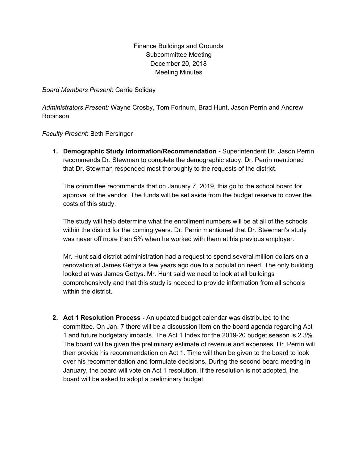## Finance Buildings and Grounds Subcommittee Meeting December 20, 2018 Meeting Minutes

*Board Members Present*: Carrie Soliday

*Administrators Present:* Wayne Crosby, Tom Fortnum, Brad Hunt, Jason Perrin and Andrew Robinson

*Faculty Present*: Beth Persinger

**1. Demographic Study Information/Recommendation -** Superintendent Dr. Jason Perrin recommends Dr. Stewman to complete the demographic study. Dr. Perrin mentioned that Dr. Stewman responded most thoroughly to the requests of the district.

The committee recommends that on January 7, 2019, this go to the school board for approval of the vendor. The funds will be set aside from the budget reserve to cover the costs of this study.

The study will help determine what the enrollment numbers will be at all of the schools within the district for the coming years. Dr. Perrin mentioned that Dr. Stewman's study was never off more than 5% when he worked with them at his previous employer.

Mr. Hunt said district administration had a request to spend several million dollars on a renovation at James Gettys a few years ago due to a population need. The only building looked at was James Gettys. Mr. Hunt said we need to look at all buildings comprehensively and that this study is needed to provide information from all schools within the district.

**2. Act 1 Resolution Process -** An updated budget calendar was distributed to the committee. On Jan. 7 there will be a discussion item on the board agenda regarding Act 1 and future budgetary impacts. The Act 1 Index for the 2019-20 budget season is 2.3%. The board will be given the preliminary estimate of revenue and expenses. Dr. Perrin will then provide his recommendation on Act 1. Time will then be given to the board to look over his recommendation and formulate decisions. During the second board meeting in January, the board will vote on Act 1 resolution. If the resolution is not adopted, the board will be asked to adopt a preliminary budget.